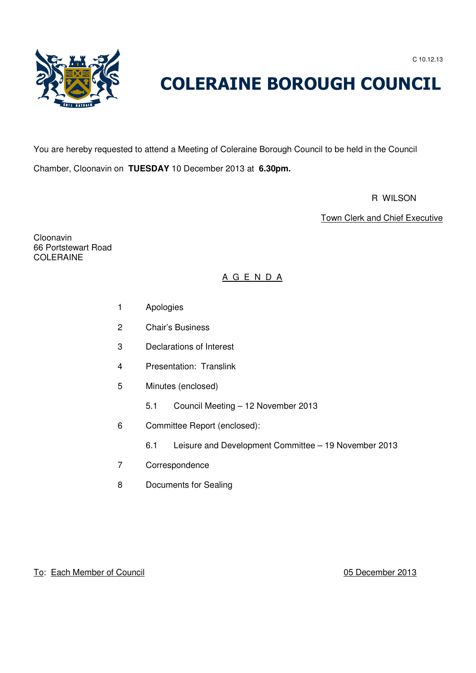C 10.12.13



# COLERAINE BOROUGH COUNCIL

You are hereby requested to attend a Meeting of Coleraine Borough Council to be held in the Council Chamber, Cloonavin on **TUESDAY** 10 December 2013 at **6.30pm.**

R WILSON NEWSFILM THE RESERVE OF THE RESERVE OF THE RESERVE OF THE RESERVE OF THE RESERVE OF THE RESERVE OF THE RESERVE OF THE RESERVE OF THE RESERVE OF THE RESERVE OF THE RESERVE OF THE RESERVE OF THE RESERVE OF THE RESER

Town Clerk and Chief Executive

Cloonavin 66 Portstewart Road COLERAINE

# A G E N D A

- 1 Apologies
- 2 Chair's Business
- 3 Declarations of Interest
- 4 Presentation: Translink
- 5 Minutes (enclosed)
	- 5.1 Council Meeting 12 November 2013
- 6 Committee Report (enclosed):
	- 6.1 Leisure and Development Committee 19 November 2013
- 7 Correspondence
- 8 Documents for Sealing

## To: Each Member of Council 05 December 2013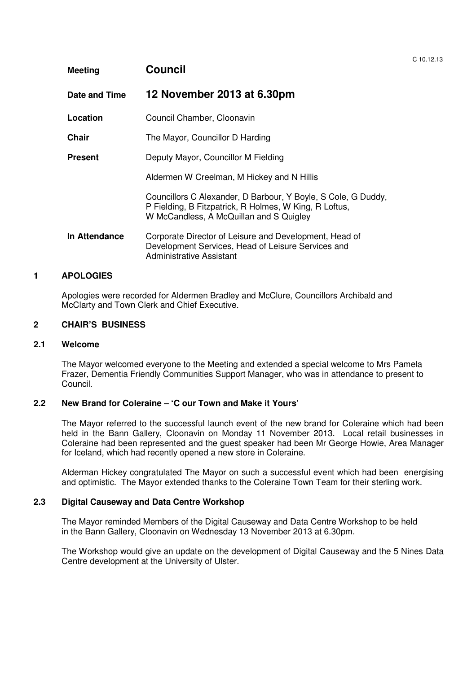| <b>Meeting</b> | <b>Council</b>                                                                                                                                                     |  |  |
|----------------|--------------------------------------------------------------------------------------------------------------------------------------------------------------------|--|--|
| Date and Time  | 12 November 2013 at 6.30pm                                                                                                                                         |  |  |
| Location       | Council Chamber, Cloonavin                                                                                                                                         |  |  |
| <b>Chair</b>   | The Mayor, Councillor D Harding                                                                                                                                    |  |  |
| <b>Present</b> | Deputy Mayor, Councillor M Fielding                                                                                                                                |  |  |
|                | Aldermen W Creelman, M Hickey and N Hillis                                                                                                                         |  |  |
|                | Councillors C Alexander, D Barbour, Y Boyle, S Cole, G Duddy,<br>P Fielding, B Fitzpatrick, R Holmes, W King, R Loftus,<br>W McCandless, A McQuillan and S Quigley |  |  |
| In Attendance  | Corporate Director of Leisure and Development, Head of<br>Development Services, Head of Leisure Services and<br><b>Administrative Assistant</b>                    |  |  |

 $C$  10.12.13

## **1 APOLOGIES**

 Apologies were recorded for Aldermen Bradley and McClure, Councillors Archibald and McClarty and Town Clerk and Chief Executive.

#### **2 CHAIR'S BUSINESS**

#### **2.1 Welcome**

The Mayor welcomed everyone to the Meeting and extended a special welcome to Mrs Pamela Frazer, Dementia Friendly Communities Support Manager, who was in attendance to present to Council.

#### **2.2 New Brand for Coleraine – 'C our Town and Make it Yours'**

The Mayor referred to the successful launch event of the new brand for Coleraine which had been held in the Bann Gallery, Cloonavin on Monday 11 November 2013. Local retail businesses in Coleraine had been represented and the guest speaker had been Mr George Howie, Area Manager for Iceland, which had recently opened a new store in Coleraine.

Alderman Hickey congratulated The Mayor on such a successful event which had been energising and optimistic. The Mayor extended thanks to the Coleraine Town Team for their sterling work.

#### **2.3 Digital Causeway and Data Centre Workshop**

The Mayor reminded Members of the Digital Causeway and Data Centre Workshop to be held in the Bann Gallery, Cloonavin on Wednesday 13 November 2013 at 6.30pm.

The Workshop would give an update on the development of Digital Causeway and the 5 Nines Data Centre development at the University of Ulster.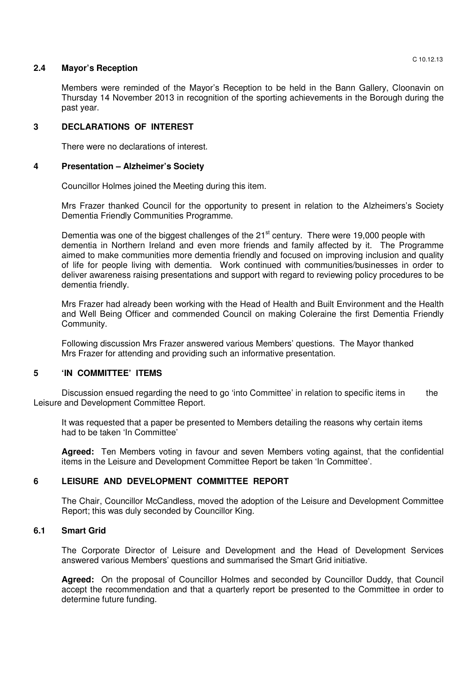#### **2.4 Mayor's Reception**

Members were reminded of the Mayor's Reception to be held in the Bann Gallery, Cloonavin on Thursday 14 November 2013 in recognition of the sporting achievements in the Borough during the past year.

#### **3 DECLARATIONS OF INTEREST**

There were no declarations of interest.

#### **4 Presentation – Alzheimer's Society**

Councillor Holmes joined the Meeting during this item.

Mrs Frazer thanked Council for the opportunity to present in relation to the Alzheimers's Society Dementia Friendly Communities Programme.

Dementia was one of the biggest challenges of the 21<sup>st</sup> century. There were 19,000 people with dementia in Northern Ireland and even more friends and family affected by it. The Programme aimed to make communities more dementia friendly and focused on improving inclusion and quality of life for people living with dementia. Work continued with communities/businesses in order to deliver awareness raising presentations and support with regard to reviewing policy procedures to be dementia friendly.

Mrs Frazer had already been working with the Head of Health and Built Environment and the Health and Well Being Officer and commended Council on making Coleraine the first Dementia Friendly Community.

Following discussion Mrs Frazer answered various Members' questions. The Mayor thanked Mrs Frazer for attending and providing such an informative presentation.

#### **5 'IN COMMITTEE' ITEMS**

Discussion ensued regarding the need to go 'into Committee' in relation to specific items in the Leisure and Development Committee Report.

 It was requested that a paper be presented to Members detailing the reasons why certain items had to be taken 'In Committee'

**Agreed:** Ten Members voting in favour and seven Members voting against, that the confidential items in the Leisure and Development Committee Report be taken 'In Committee'.

#### **6 LEISURE AND DEVELOPMENT COMMITTEE REPORT**

The Chair, Councillor McCandless, moved the adoption of the Leisure and Development Committee Report; this was duly seconded by Councillor King.

#### **6.1 Smart Grid**

The Corporate Director of Leisure and Development and the Head of Development Services answered various Members' questions and summarised the Smart Grid initiative.

**Agreed:** On the proposal of Councillor Holmes and seconded by Councillor Duddy, that Council accept the recommendation and that a quarterly report be presented to the Committee in order to determine future funding.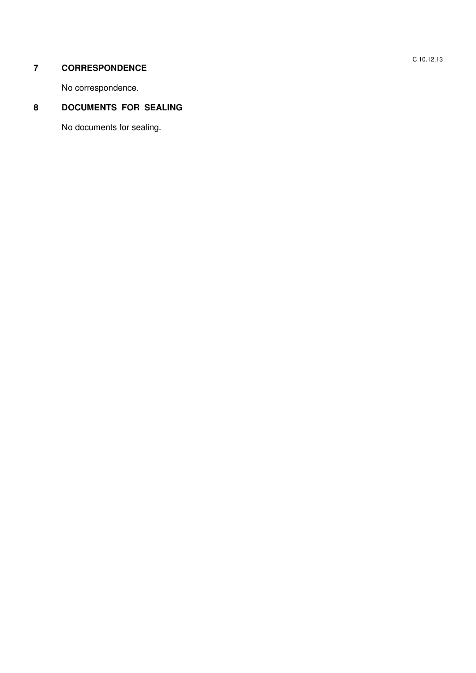# **7 CORRESPONDENCE**

No correspondence.

# **8 DOCUMENTS FOR SEALING**

No documents for sealing.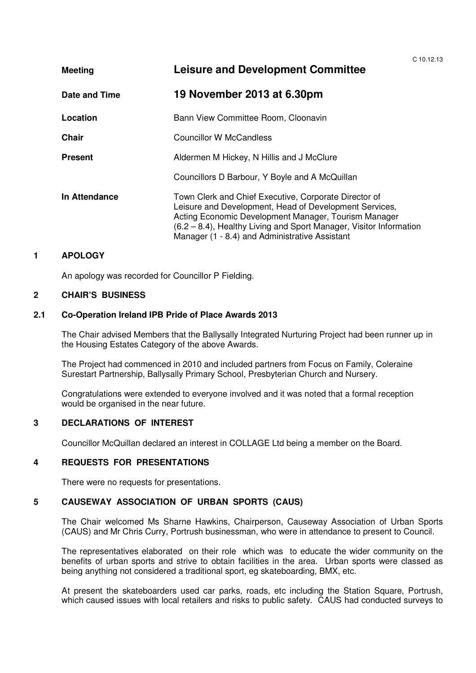$C$  10.12.13 **Meeting Leisure and Development Committee Date and Time 19 November 2013 at 6.30pm Location Bann View Committee Room, Cloonavin Chair Councillor W McCandless Present Aldermen M Hickey, N Hillis and J McClure**  Councillors D Barbour, Y Boyle and A McQuillan **In Attendance Town Clerk and Chief Executive, Corporate Director of**  Leisure and Development, Head of Development Services, Acting Economic Development Manager, Tourism Manager (6.2 – 8.4), Healthy Living and Sport Manager, Visitor Information Manager (1 - 8.4) and Administrative Assistant

## **1 APOLOGY**

An apology was recorded for Councillor P Fielding.

#### **2 CHAIR'S BUSINESS**

#### **2.1 Co-Operation Ireland IPB Pride of Place Awards 2013**

The Chair advised Members that the Ballysally Integrated Nurturing Project had been runner up in the Housing Estates Category of the above Awards.

The Project had commenced in 2010 and included partners from Focus on Family, Coleraine Surestart Partnership, Ballysally Primary School, Presbyterian Church and Nursery.

Congratulations were extended to everyone involved and it was noted that a formal reception would be organised in the near future.

#### **3 DECLARATIONS OF INTEREST**

Councillor McQuillan declared an interest in COLLAGE Ltd being a member on the Board.

#### **4 REQUESTS FOR PRESENTATIONS**

There were no requests for presentations.

# **5 CAUSEWAY ASSOCIATION OF URBAN SPORTS (CAUS)**

The Chair welcomed Ms Sharne Hawkins, Chairperson, Causeway Association of Urban Sports (CAUS) and Mr Chris Curry, Portrush businessman, who were in attendance to present to Council.

The representatives elaborated on their role which was to educate the wider community on the benefits of urban sports and strive to obtain facilities in the area. Urban sports were classed as being anything not considered a traditional sport, eg skateboarding, BMX, etc.

At present the skateboarders used car parks, roads, etc including the Station Square, Portrush, which caused issues with local retailers and risks to public safety. CAUS had conducted surveys to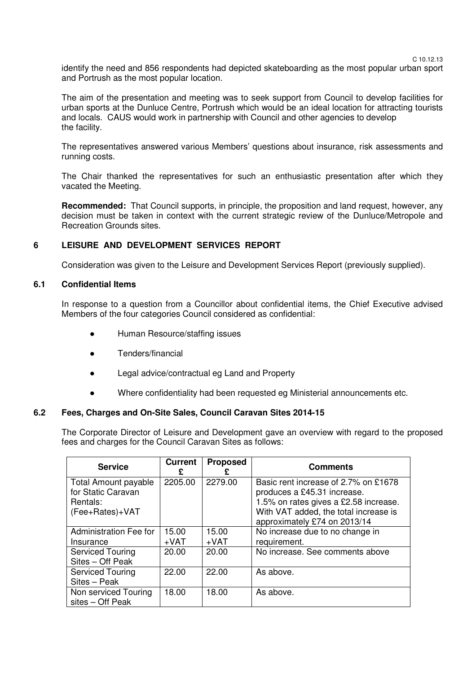C 10.12.13

identify the need and 856 respondents had depicted skateboarding as the most popular urban sport and Portrush as the most popular location.

The aim of the presentation and meeting was to seek support from Council to develop facilities for urban sports at the Dunluce Centre, Portrush which would be an ideal location for attracting tourists and locals. CAUS would work in partnership with Council and other agencies to develop the facility.

The representatives answered various Members' questions about insurance, risk assessments and running costs.

The Chair thanked the representatives for such an enthusiastic presentation after which they vacated the Meeting.

**Recommended:** That Council supports, in principle, the proposition and land request, however, any decision must be taken in context with the current strategic review of the Dunluce/Metropole and Recreation Grounds sites.

## **6 LEISURE AND DEVELOPMENT SERVICES REPORT**

Consideration was given to the Leisure and Development Services Report (previously supplied).

#### **6.1 Confidential Items**

In response to a question from a Councillor about confidential items, the Chief Executive advised Members of the four categories Council considered as confidential:

- Human Resource/staffing issues
- Tenders/financial
- Legal advice/contractual eg Land and Property
- Where confidentiality had been requested eg Ministerial announcements etc.

#### **6.2 Fees, Charges and On-Site Sales, Council Caravan Sites 2014-15**

The Corporate Director of Leisure and Development gave an overview with regard to the proposed fees and charges for the Council Caravan Sites as follows:

| <b>Service</b>                                                | Current<br>£ | <b>Proposed</b> | <b>Comments</b>                                                                                              |
|---------------------------------------------------------------|--------------|-----------------|--------------------------------------------------------------------------------------------------------------|
| <b>Total Amount payable</b><br>for Static Caravan<br>Rentals: | 2205.00      | 2279.00         | Basic rent increase of 2.7% on £1678<br>produces a £45.31 increase.<br>1.5% on rates gives a £2.58 increase. |
| (Fee+Rates)+VAT                                               |              |                 | With VAT added, the total increase is<br>approximately £74 on 2013/14                                        |
| Administration Fee for                                        | 15.00        | 15.00           | No increase due to no change in                                                                              |
| Insurance                                                     | $+VAT$       | $+VAT$          | requirement.                                                                                                 |
| <b>Serviced Touring</b><br>Sites - Off Peak                   | 20.00        | 20.00           | No increase. See comments above                                                                              |
| <b>Serviced Touring</b><br>Sites - Peak                       | 22.00        | 22.00           | As above.                                                                                                    |
| Non serviced Touring<br>sites – Off Peak                      | 18.00        | 18.00           | As above.                                                                                                    |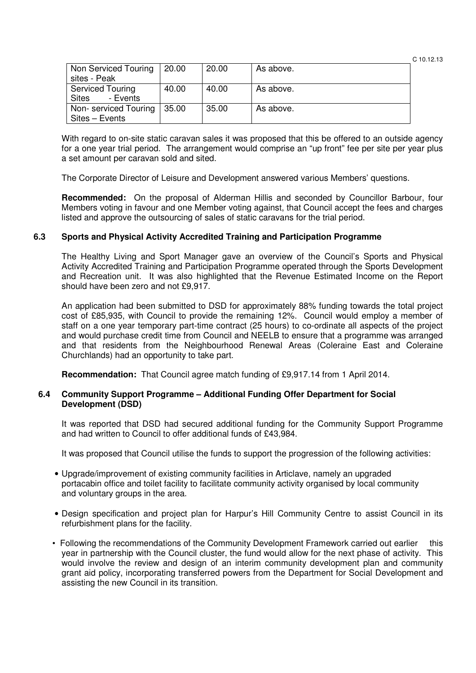| C 10.12.13 |
|------------|
|------------|

| Non Serviced Touring<br>sites - Peak                | 20.00 | 20.00 | As above. |
|-----------------------------------------------------|-------|-------|-----------|
| <b>Serviced Touring</b><br><b>Sites</b><br>- Events | 40.00 | 40.00 | As above. |
| Non-serviced Touring<br>Sites - Events              | 35.00 | 35.00 | As above. |

With regard to on-site static caravan sales it was proposed that this be offered to an outside agency for a one year trial period. The arrangement would comprise an "up front" fee per site per year plus a set amount per caravan sold and sited.

The Corporate Director of Leisure and Development answered various Members' questions.

**Recommended:** On the proposal of Alderman Hillis and seconded by Councillor Barbour, four Members voting in favour and one Member voting against, that Council accept the fees and charges listed and approve the outsourcing of sales of static caravans for the trial period.

#### **6.3 Sports and Physical Activity Accredited Training and Participation Programme**

The Healthy Living and Sport Manager gave an overview of the Council's Sports and Physical Activity Accredited Training and Participation Programme operated through the Sports Development and Recreation unit. It was also highlighted that the Revenue Estimated Income on the Report should have been zero and not £9,917.

An application had been submitted to DSD for approximately 88% funding towards the total project cost of £85,935, with Council to provide the remaining 12%. Council would employ a member of staff on a one year temporary part-time contract (25 hours) to co-ordinate all aspects of the project and would purchase credit time from Council and NEELB to ensure that a programme was arranged and that residents from the Neighbourhood Renewal Areas (Coleraine East and Coleraine Churchlands) had an opportunity to take part.

**Recommendation:** That Council agree match funding of £9,917.14 from 1 April 2014.

#### **6.4 Community Support Programme – Additional Funding Offer Department for Social Development (DSD)**

 It was reported that DSD had secured additional funding for the Community Support Programme and had written to Council to offer additional funds of £43,984.

It was proposed that Council utilise the funds to support the progression of the following activities:

- Upgrade/improvement of existing community facilities in Articlave, namely an upgraded portacabin office and toilet facility to facilitate community activity organised by local community and voluntary groups in the area.
- Design specification and project plan for Harpur's Hill Community Centre to assist Council in its refurbishment plans for the facility.
- Following the recommendations of the Community Development Framework carried out earlier this year in partnership with the Council cluster, the fund would allow for the next phase of activity. This would involve the review and design of an interim community development plan and community grant aid policy, incorporating transferred powers from the Department for Social Development and assisting the new Council in its transition.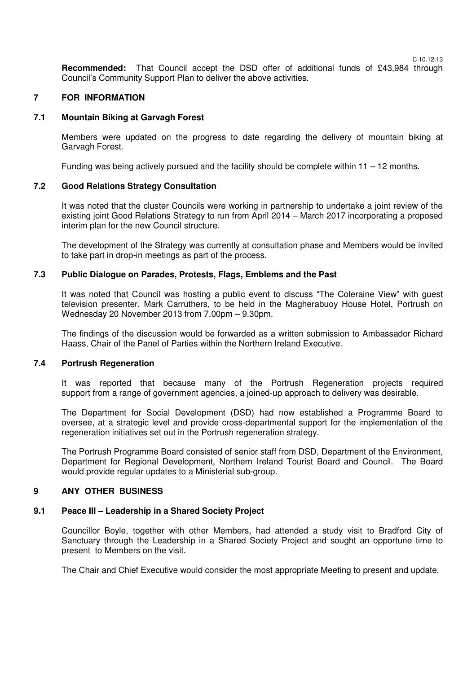**Recommended:** That Council accept the DSD offer of additional funds of £43,984 through Council's Community Support Plan to deliver the above activities.

#### **7 FOR INFORMATION**

#### **7.1 Mountain Biking at Garvagh Forest**

Members were updated on the progress to date regarding the delivery of mountain biking at Garvagh Forest.

Funding was being actively pursued and the facility should be complete within  $11 - 12$  months.

#### **7.2 Good Relations Strategy Consultation**

It was noted that the cluster Councils were working in partnership to undertake a joint review of the existing joint Good Relations Strategy to run from April 2014 – March 2017 incorporating a proposed interim plan for the new Council structure.

The development of the Strategy was currently at consultation phase and Members would be invited to take part in drop-in meetings as part of the process.

#### **7.3 Public Dialogue on Parades, Protests, Flags, Emblems and the Past**

It was noted that Council was hosting a public event to discuss "The Coleraine View" with guest television presenter, Mark Carruthers, to be held in the Magherabuoy House Hotel, Portrush on Wednesday 20 November 2013 from 7.00pm – 9.30pm.

The findings of the discussion would be forwarded as a written submission to Ambassador Richard Haass, Chair of the Panel of Parties within the Northern Ireland Executive.

#### **7.4 Portrush Regeneration**

It was reported that because many of the Portrush Regeneration projects required support from a range of government agencies, a joined-up approach to delivery was desirable.

 The Department for Social Development (DSD) had now established a Programme Board to oversee, at a strategic level and provide cross-departmental support for the implementation of the regeneration initiatives set out in the Portrush regeneration strategy.

 The Portrush Programme Board consisted of senior staff from DSD, Department of the Environment, Department for Regional Development, Northern Ireland Tourist Board and Council. The Board would provide regular updates to a Ministerial sub-group.

#### **9 ANY OTHER BUSINESS**

#### **9.1 Peace III – Leadership in a Shared Society Project**

Councillor Boyle, together with other Members, had attended a study visit to Bradford City of Sanctuary through the Leadership in a Shared Society Project and sought an opportune time to present to Members on the visit.

The Chair and Chief Executive would consider the most appropriate Meeting to present and update.

C 10.12.13